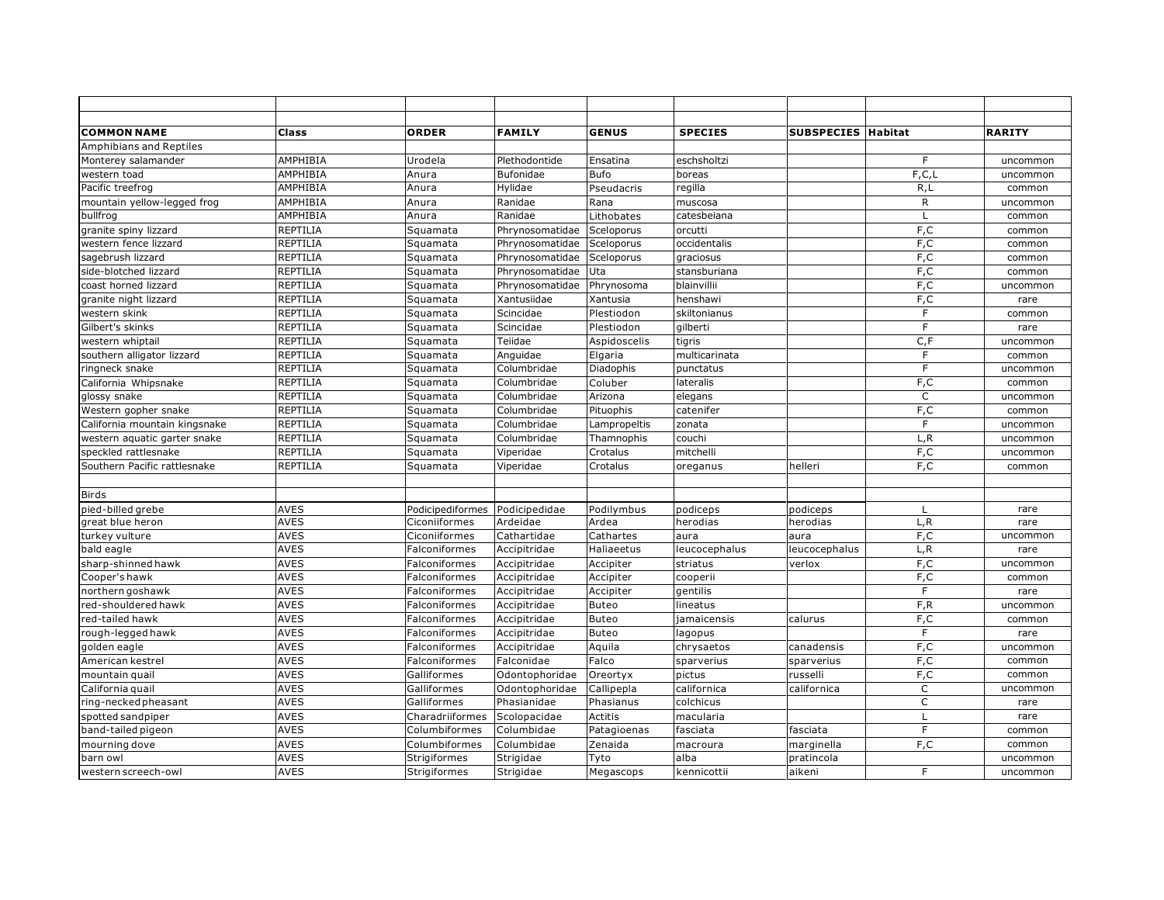| <b>COMMON NAME</b>             | Class           | <b>ORDER</b>                   | <b>FAMILY</b>   | <b>GENUS</b> | <b>SPECIES</b> | <b>SUBSPECIES Habitat</b> |                | <b>RARITY</b> |
|--------------------------------|-----------------|--------------------------------|-----------------|--------------|----------------|---------------------------|----------------|---------------|
| <b>Amphibians and Reptiles</b> |                 |                                |                 |              |                |                           |                |               |
| Monterey salamander            | AMPHIBIA        | Urodela                        | Plethodontide   | Ensatina     | eschsholtzi    |                           | F              | uncommon      |
| western toad                   | AMPHIBIA        | Anura                          | Bufonidae       | <b>Bufo</b>  | boreas         |                           | F, C, L        | uncommon      |
| Pacific treefrog               | AMPHIBIA        | Anura                          | Hylidae         | Pseudacris   | regilla        |                           | R, L           | common        |
| mountain yellow-legged frog    | AMPHIBIA        | Anura                          | Ranidae         | Rana         | muscosa        |                           | $\mathsf{R}$   | uncommon      |
| bullfrog                       | AMPHIBIA        | Anura                          | Ranidae         | Lithobates   | catesbeiana    |                           | $\mathsf{L}$   | common        |
| granite spiny lizzard          | REPTILIA        | Squamata                       | Phrynosomatidae | Sceloporus   | orcutti        |                           | F,C            | common        |
| western fence lizzard          | REPTILIA        | Squamata                       | Phrynosomatidae | Sceloporus   | occidentalis   |                           | F,C            | common        |
| sagebrush lizzard              | <b>REPTILIA</b> | Squamata                       | Phrynosomatidae | Sceloporus   | graciosus      |                           | F,C            | common        |
| side-blotched lizzard          | REPTILIA        | Squamata                       | Phrynosomatidae | Uta          | stansburiana   |                           | F,C            | common        |
| coast horned lizzard           | <b>REPTILIA</b> | Squamata                       | Phrynosomatidae | Phrynosoma   | blainvillii    |                           | F,C            | uncommon      |
| granite night lizzard          | REPTILIA        | Squamata                       | Xantusiidae     | Xantusia     | henshawi       |                           | F,C            | rare          |
| western skink                  | <b>REPTILIA</b> | Squamata                       | Scincidae       | Plestiodon   | skiltonianus   |                           | F              | common        |
| Gilbert's skinks               | REPTILIA        | Squamata                       | Scincidae       | Plestiodon   | gilberti       |                           | $\mathsf{F}$   | rare          |
| western whiptail               | REPTILIA        | Squamata                       | Teiidae         | Aspidoscelis | tigris         |                           | C, F           | uncommon      |
| southern alligator lizzard     | REPTILIA        | Squamata                       | Anguidae        | Elgaria      | multicarinata  |                           | $\mathsf F$    | common        |
| ringneck snake                 | REPTILIA        | Squamata                       | Columbridae     | Diadophis    | punctatus      |                           | $\overline{F}$ | uncommon      |
| California Whipsnake           | <b>REPTILIA</b> | Squamata                       | Columbridae     | Coluber      | lateralis      |                           | F, C           | common        |
| glossy snake                   | REPTILIA        | Squamata                       | Columbridae     | Arizona      | elegans        |                           | $\mathsf C$    | uncommon      |
| Western gopher snake           | <b>REPTILIA</b> | Squamata                       | Columbridae     | Pituophis    | catenifer      |                           | F, C           | common        |
| California mountain kingsnake  | <b>REPTILIA</b> | Squamata                       | Columbridae     | Lampropeltis | zonata         |                           | F              | uncommon      |
| western aquatic garter snake   | <b>REPTILIA</b> | Squamata                       | Columbridae     | Thamnophis   | couchi         |                           | L, R           | uncommon      |
| speckled rattlesnake           | <b>REPTILIA</b> | Squamata                       | Viperidae       | Crotalus     | mitchelli      |                           | F,C            | uncommon      |
| Southern Pacific rattlesnake   | <b>REPTILIA</b> | Squamata                       | Viperidae       | Crotalus     | oreganus       | helleri                   | F,C            | common        |
|                                |                 |                                |                 |              |                |                           |                |               |
| <b>Birds</b>                   |                 |                                |                 |              |                |                           |                |               |
| pied-billed grebe              | <b>AVES</b>     | Podicipediformes Podicipedidae |                 | Podilymbus   | podiceps       | podiceps                  | L              | rare          |
| great blue heron               | <b>AVES</b>     | Ciconiiformes                  | Ardeidae        | Ardea        | herodias       | herodias                  | L, R           | rare          |
| turkey vulture                 | <b>AVES</b>     | Ciconiiformes                  | Cathartidae     | Cathartes    | aura           | aura                      | F,C            | uncommon      |
| bald eagle                     | <b>AVES</b>     | Falconiformes                  | Accipitridae    | Haliaeetus   | leucocephalus  | leucocephalus             | L, R           | rare          |
| sharp-shinned hawk             | <b>AVES</b>     | Falconiformes                  | Accipitridae    | Accipiter    | striatus       | verlox                    | F,C            | uncommon      |
| Cooper's hawk                  | <b>AVES</b>     | Falconiformes                  | Accipitridae    | Accipiter    | cooperii       |                           | F,C            | common        |
| northern goshawk               | <b>AVES</b>     | Falconiformes                  | Accipitridae    | Accipiter    | gentilis       |                           | F              | rare          |
| red-shouldered hawk            | <b>AVES</b>     | Falconiformes                  | Accipitridae    | Buteo        | lineatus       |                           | F,R            | uncommon      |
| red-tailed hawk                | <b>AVES</b>     | Falconiformes                  | Accipitridae    | <b>Buteo</b> | jamaicensis    | calurus                   | F, C           | common        |
| rough-legged hawk              | <b>AVES</b>     | Falconiformes                  | Accipitridae    | Buteo        | lagopus        |                           | F              | rare          |
| golden eagle                   | <b>AVES</b>     | Falconiformes                  | Accipitridae    | Aquila       | chrysaetos     | canadensis                | F, C           | uncommon      |
| American kestrel               | <b>AVES</b>     | Falconiformes                  | Falconidae      | Falco        | sparverius     | sparverius                | F,C            | common        |
| mountain quail                 | <b>AVES</b>     | Galliformes                    | Odontophoridae  | Oreortyx     | pictus         | russelli                  | F, C           | common        |
| California quail               | <b>AVES</b>     | Galliformes                    | Odontophoridae  | Callipepla   | californica    | californica               | $\mathsf{C}$   | uncommon      |
| ring-necked pheasant           | <b>AVES</b>     | Galliformes                    | Phasianidae     | Phasianus    | colchicus      |                           | $\mathsf{C}$   | rare          |
| spotted sandpiper              | <b>AVES</b>     | Charadriiformes                | Scolopacidae    | Actitis      | macularia      |                           | $\mathsf{L}$   | rare          |
| band-tailed pigeon             | <b>AVES</b>     | Columbiformes                  | Columbidae      | Patagioenas  | fasciata       | fasciata                  | F              | common        |
| mourning dove                  | <b>AVES</b>     | Columbiformes                  | Columbidae      | Zenaida      | macroura       | marginella                | F, C           | common        |
| barn owl                       | <b>AVES</b>     | Strigiformes                   | Strigidae       | Tyto         | alba           | pratincola                |                | uncommon      |
| western screech-owl            | <b>AVES</b>     | Strigiformes                   | Strigidae       | Megascops    | kennicottii    | aikeni                    | F              | uncommon      |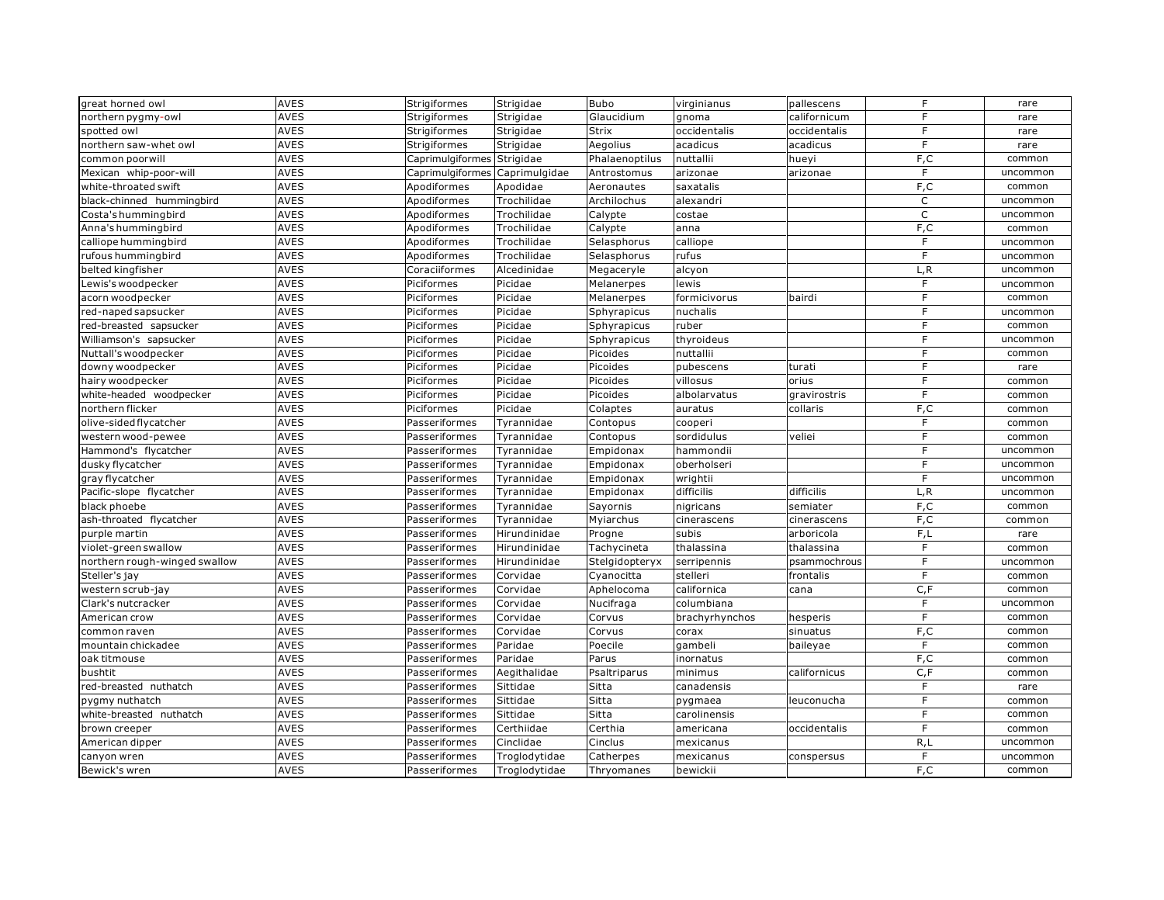| great horned owl              | <b>AVES</b> | Strigiformes               | Strigidae     | <b>Bubo</b>    | virginianus    | pallescens   | F            | rare     |
|-------------------------------|-------------|----------------------------|---------------|----------------|----------------|--------------|--------------|----------|
| northern pygmy-owl            | <b>AVES</b> | Strigiformes               | Strigidae     | Glaucidium     | gnoma          | californicum | F            | rare     |
| spotted owl                   | <b>AVES</b> | Strigiformes               | Strigidae     | Strix          | occidentalis   | occidentalis | $\mathsf{F}$ | rare     |
| northern saw-whet owl         | <b>AVES</b> | Strigiformes               | Strigidae     | Aegolius       | acadicus       | acadicus     | F            | rare     |
| common poorwill               | <b>AVES</b> | Caprimulgiformes Strigidae |               | Phalaenoptilus | nuttallii      | hueyi        | F, C         | common   |
| Mexican whip-poor-will        | <b>AVES</b> | Caprimulgiformes           | Caprimulgidae | Antrostomus    | arizonae       | arizonae     | F            | uncommon |
| white-throated swift          | <b>AVES</b> | Apodiformes                | Apodidae      | Aeronautes     | saxatalis      |              | F, C         | common   |
| black-chinned hummingbird     | <b>AVES</b> | Apodiformes                | Trochilidae   | Archilochus    | alexandri      |              | $\mathsf{C}$ | uncommon |
| Costa's hummingbird           | <b>AVES</b> | Apodiformes                | Trochilidae   | Calypte        | costae         |              | $\mathsf C$  | uncommon |
| Anna's hummingbird            | <b>AVES</b> | Apodiformes                | Trochilidae   | Calypte        | anna           |              | F, C         | common   |
| calliope hummingbird          | <b>AVES</b> | Apodiformes                | Trochilidae   | Selasphorus    | calliope       |              | $\mathsf{F}$ | uncommon |
| ufous hummingbird             | <b>AVES</b> | Apodiformes                | Trochilidae   | Selasphorus    | rufus          |              | E            | uncommon |
| belted kingfisher             | <b>AVES</b> | Coraciiformes              | Alcedinidae   | Megaceryle     | alcyon         |              | L, R         | uncommon |
| ewis's woodpecker             | <b>AVES</b> | Piciformes                 | Picidae       | Melanerpes     | lewis          |              | F            | uncommon |
| acorn woodpecker              | <b>AVES</b> | Piciformes                 | Picidae       | Melanerpes     | formicivorus   | bairdi       | F            | common   |
| ed-naped sapsucker            | <b>AVES</b> | Piciformes                 | Picidae       | Sphyrapicus    | nuchalis       |              | F.           | uncommon |
| red-breasted sapsucker        | <b>AVES</b> | Piciformes                 | Picidae       | Sphyrapicus    | ruber          |              | F            | common   |
| Williamson's sapsucker        | <b>AVES</b> | Piciformes                 | Picidae       | Sphyrapicus    | thyroideus     |              | F            | uncommon |
| Nuttall's woodpecker          | <b>AVES</b> | Piciformes                 | Picidae       | Picoides       | nuttallii      |              | F            | common   |
| downy woodpecker              | <b>AVES</b> | Piciformes                 | Picidae       | Picoides       | pubescens      | turati       | F            | rare     |
| hairy woodpecker              | <b>AVES</b> | Piciformes                 | Picidae       | Picoides       | villosus       | orius        | F            | common   |
| white-headed woodpecker       | <b>AVES</b> | Piciformes                 | Picidae       | Picoides       | albolarvatus   | gravirostris | $\mathsf{F}$ | common   |
| northern flicker              | AVES        | Piciformes                 | Picidae       | Colaptes       | auratus        | collaris     | F, C         | common   |
| olive-sided flycatcher        | <b>AVES</b> | Passeriformes              | Tyrannidae    | Contopus       | cooperi        |              | $\mathsf F$  | common   |
| western wood-pewee            | <b>AVES</b> | Passeriformes              | Tyrannidae    | Contopus       | sordidulus     | veliei       | F            | common   |
| Hammond's flycatcher          | AVES        | Passeriformes              | Tyrannidae    | Empidonax      | hammondii      |              | $\mathsf F$  | uncommon |
| dusky flycatcher              | AVES        | Passeriformes              | Tyrannidae    | Empidonax      | oberholseri    |              | F            | uncommon |
| gray flycatcher               | <b>AVES</b> | Passeriformes              | Tyrannidae    | Empidonax      | wrightii       |              | F            | uncommon |
| Pacific-slope flycatcher      | <b>AVES</b> | Passeriformes              | Tyrannidae    | Empidonax      | difficilis     | difficilis   | L, R         | uncommon |
| black phoebe                  | <b>AVES</b> | Passeriformes              | Tyrannidae    | Sayornis       | nigricans      | semiater     | F,C          | common   |
| ash-throated flycatcher       | <b>AVES</b> | Passeriformes              | Tyrannidae    | Myiarchus      | cinerascens    | cinerascens  | F,C          | common   |
| purple martin                 | <b>AVES</b> | Passeriformes              | Hirundinidae  | Progne         | subis          | arboricola   | F,L          | rare     |
| violet-green swallow          | <b>AVES</b> | Passeriformes              | Hirundinidae  | Tachycineta    | thalassina     | thalassina   | F            | common   |
| northern rough-winged swallow | <b>AVES</b> | Passeriformes              | Hirundinidae  | Stelgidopteryx | serripennis    | psammochrous | E            | uncommon |
| Steller's jay                 | <b>AVES</b> | Passeriformes              | Corvidae      | Cyanocitta     | stelleri       | frontalis    | F            | common   |
| western scrub-jay             | <b>AVES</b> | Passeriformes              | Corvidae      | Aphelocoma     | californica    | cana         | C, F         | common   |
| Clark's nutcracker            | <b>AVES</b> | Passeriformes              | Corvidae      | Nucifraga      | columbiana     |              | F            | uncommon |
| American crow                 | <b>AVES</b> | Passeriformes              | Corvidae      | Corvus         | brachyrhynchos | hesperis     | $\mathsf{F}$ | common   |
| common raven                  | <b>AVES</b> | Passeriformes              | Corvidae      | Corvus         | corax          | sinuatus     | F, C         | common   |
| mountain chickadee            | <b>AVES</b> | Passeriformes              | Paridae       | Poecile        | gambeli        | baileyae     | F            | common   |
| oak titmouse                  | <b>AVES</b> | Passeriformes              | Paridae       | Parus          | inornatus      |              | F,C          | common   |
| bushtit                       | <b>AVES</b> | Passeriformes              | Aegithalidae  | Psaltriparus   | minimus        | californicus | C, F         | common   |
| red-breasted nuthatch         | <b>AVES</b> | Passeriformes              | Sittidae      | Sitta          | canadensis     |              | F            | rare     |
| pygmy nuthatch                | <b>AVES</b> | Passeriformes              | Sittidae      | Sitta          | pygmaea        | leuconucha   | F            | common   |
| white-breasted nuthatch       | <b>AVES</b> | Passeriformes              | Sittidae      | Sitta          | carolinensis   |              | F            | common   |
| brown creeper                 | AVES        | Passeriformes              | Certhiidae    | Certhia        | americana      | occidentalis | $\mathsf F$  | common   |
| American dipper               | <b>AVES</b> | Passeriformes              | Cinclidae     | Cinclus        | mexicanus      |              | R, L         | uncommon |
| canyon wren                   | <b>AVES</b> | Passeriformes              | Troglodytidae | Catherpes      | mexicanus      | conspersus   | $\mathsf{F}$ | uncommon |
| Bewick's wren                 | <b>AVES</b> | Passeriformes              | Troglodytidae | Thryomanes     | bewickii       |              | F,C          | common   |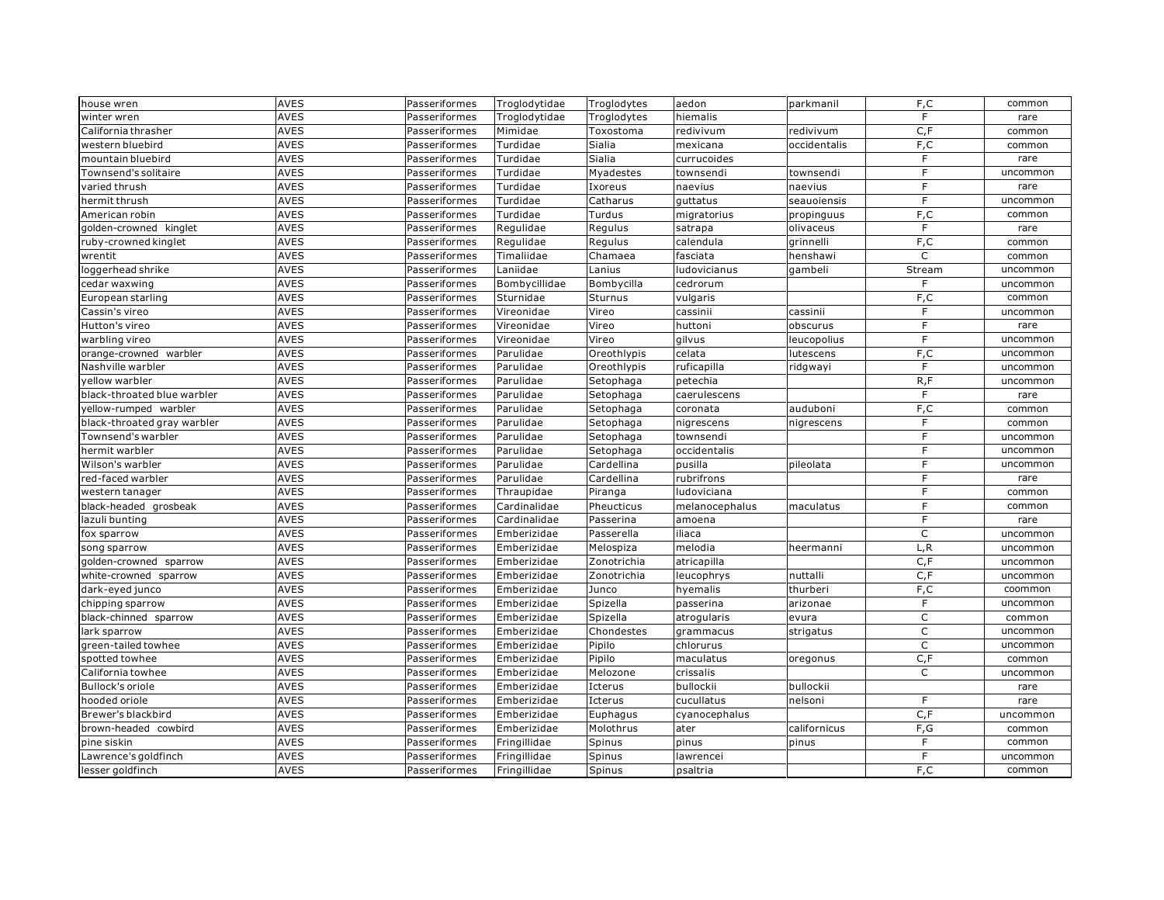| house wren                  | <b>AVES</b> | Passeriformes | Troglodytidae | Troglodytes | aedon          | parkmanil    | F,C            | common   |
|-----------------------------|-------------|---------------|---------------|-------------|----------------|--------------|----------------|----------|
| winter wren                 | <b>AVES</b> | Passeriformes | Troglodytidae | Troglodytes | hiemalis       |              | F              | rare     |
| California thrasher         | AVES        | Passeriformes | Mimidae       | Toxostoma   | redivivum      | redivivum    | C, F           | common   |
| western bluebird            | <b>AVES</b> | Passeriformes | Turdidae      | Sialia      | mexicana       | occidentalis | F, C           | common   |
| mountain bluebird           | <b>AVES</b> | Passeriformes | Turdidae      | Sialia      | currucoides    |              | F              | rare     |
| <b>Townsend's solitaire</b> | <b>AVES</b> | Passeriformes | Turdidae      | Myadestes   | townsendi      | townsendi    | F              | uncommon |
| varied thrush               | <b>AVES</b> | Passeriformes | Turdidae      | Ixoreus     | naevius        | naevius      | F              | rare     |
| hermit thrush               | <b>AVES</b> | Passeriformes | Turdidae      | Catharus    | guttatus       | seauoiensis  | E              | uncommon |
| American robin              | <b>AVES</b> | Passeriformes | Turdidae      | Turdus      | migratorius    | propinguus   | F,C            | common   |
| golden-crowned kinglet      | <b>AVES</b> | Passeriformes | Regulidae     | Regulus     | satrapa        | olivaceus    | F              | rare     |
| uby-crowned kinglet         | <b>AVES</b> | Passeriformes | Regulidae     | Regulus     | calendula      | grinnelli    | F,C            | common   |
| wrentit                     | <b>AVES</b> | Passeriformes | Timaliidae    | Chamaea     | fasciata       | henshawi     | C              | common   |
| oggerhead shrike            | <b>AVES</b> | Passeriformes | Laniidae      | Lanius      | ludovicianus   | gambeli      | Stream         | uncommon |
| cedar waxwing               | <b>AVES</b> | Passeriformes | Bombycillidae | Bombycilla  | cedrorum       |              | F              | uncommon |
| European starling           | <b>AVES</b> | Passeriformes | Sturnidae     | Sturnus     | vulgaris       |              | F,C            | common   |
| Cassin's vireo              | <b>AVES</b> | Passeriformes | Vireonidae    | Vireo       | cassinii       | cassinii     | F.             | uncommon |
| Hutton's vireo              | <b>AVES</b> | Passeriformes | Vireonidae    | Vireo       | huttoni        | obscurus     | $\overline{F}$ | rare     |
| warbling vireo              | <b>AVES</b> | Passeriformes | Vireonidae    | Vireo       | gilvus         | leucopolius  | F              | uncommon |
| orange-crowned warbler      | <b>AVES</b> | Passeriformes | Parulidae     | Oreothlypis | celata         | lutescens    | F, C           | uncommon |
| Nashville warbler           | <b>AVES</b> | Passeriformes | Parulidae     | Oreothlypis | ruficapilla    | ridgwayi     | F              | uncommon |
| vellow warbler              | <b>AVES</b> | Passeriformes | Parulidae     | Setophaga   | petechia       |              | R, F           | uncommon |
| black-throated blue warbler | <b>AVES</b> | Passeriformes | Parulidae     | Setophaga   | caerulescens   |              | E              | rare     |
| vellow-rumped warbler       | AVES        | Passeriformes | Parulidae     | Setophaga   | coronata       | auduboni     | F, C           | common   |
| black-throated gray warbler | <b>AVES</b> | Passeriformes | Parulidae     | Setophaga   | nigrescens     | nigrescens   | $\mathsf F$    | common   |
| <b>Townsend's warbler</b>   | <b>AVES</b> | Passeriformes | Parulidae     | Setophaga   | townsendi      |              | F              | uncommon |
| hermit warbler              | AVES        | Passeriformes | Parulidae     | Setophaga   | occidentalis   |              | F              | uncommon |
| Wilson's warbler            | <b>AVES</b> | Passeriformes | Parulidae     | Cardellina  | pusilla        | pileolata    | F              | uncommon |
| ed-faced warbler            | <b>AVES</b> | Passeriformes | Parulidae     | Cardellina  | rubrifrons     |              | E              | rare     |
| western tanager             | <b>AVES</b> | Passeriformes | Thraupidae    | Piranga     | ludoviciana    |              | F              | common   |
| black-headed grosbeak       | <b>AVES</b> | Passeriformes | Cardinalidae  | Pheucticus  | melanocephalus | maculatus    | F              | common   |
| azuli bunting               | <b>AVES</b> | Passeriformes | Cardinalidae  | Passerina   | amoena         |              | F              | rare     |
| fox sparrow                 | <b>AVES</b> | Passeriformes | Emberizidae   | Passerella  | iliaca         |              | $\mathsf C$    | uncommon |
| song sparrow                | <b>AVES</b> | Passeriformes | Emberizidae   | Melospiza   | melodia        | heermanni    | L, R           | uncommon |
| golden-crowned sparrow      | <b>AVES</b> | Passeriformes | Emberizidae   | Zonotrichia | atricapilla    |              | C, F           | uncommon |
| white-crowned sparrow       | <b>AVES</b> | Passeriformes | Emberizidae   | Zonotrichia | leucophrys     | nuttalli     | C, F           | uncommon |
| dark-eyed junco             | <b>AVES</b> | Passeriformes | Emberizidae   | Junco       | hyemalis       | thurberi     | F,C            | coommon  |
| chipping sparrow            | <b>AVES</b> | Passeriformes | Emberizidae   | Spizella    | passerina      | arizonae     | $\overline{F}$ | uncommon |
| black-chinned sparrow       | <b>AVES</b> | Passeriformes | Emberizidae   | Spizella    | atrogularis    | evura        | $\mathsf C$    | common   |
| ark sparrow                 | <b>AVES</b> | Passeriformes | Emberizidae   | Chondestes  | grammacus      | strigatus    | $\mathsf C$    | uncommon |
| green-tailed towhee         | <b>AVES</b> | Passeriformes | Emberizidae   | Pipilo      | chlorurus      |              | $\mathsf C$    | uncommon |
| spotted towhee              | <b>AVES</b> | Passeriformes | Emberizidae   | Pipilo      | maculatus      | oregonus     | C, F           | common   |
| California towhee           | <b>AVES</b> | Passeriformes | Emberizidae   | Melozone    | crissalis      |              | C              | uncommon |
| Bullock's oriole            | <b>AVES</b> | Passeriformes | Emberizidae   | Icterus     | bullockii      | bullockii    |                | rare     |
| hooded oriole               | <b>AVES</b> | Passeriformes | Emberizidae   | Icterus     | cucullatus     | nelsoni      | F              | rare     |
| Brewer's blackbird          | <b>AVES</b> | Passeriformes | Emberizidae   | Euphagus    | cyanocephalus  |              | C, F           | uncommon |
| brown-headed cowbird        | AVES        | Passeriformes | Emberizidae   | Molothrus   | ater           | californicus | F, G           | common   |
| pine siskin                 | <b>AVES</b> | Passeriformes | Fringillidae  | Spinus      | pinus          | pinus        | F              | common   |
| Lawrence's goldfinch        | <b>AVES</b> | Passeriformes | Fringillidae  | Spinus      | lawrencei      |              | $\mathsf{F}$   | uncommon |
| lesser goldfinch            | <b>AVES</b> | Passeriformes | Fringillidae  | Spinus      | psaltria       |              | F,C            | common   |